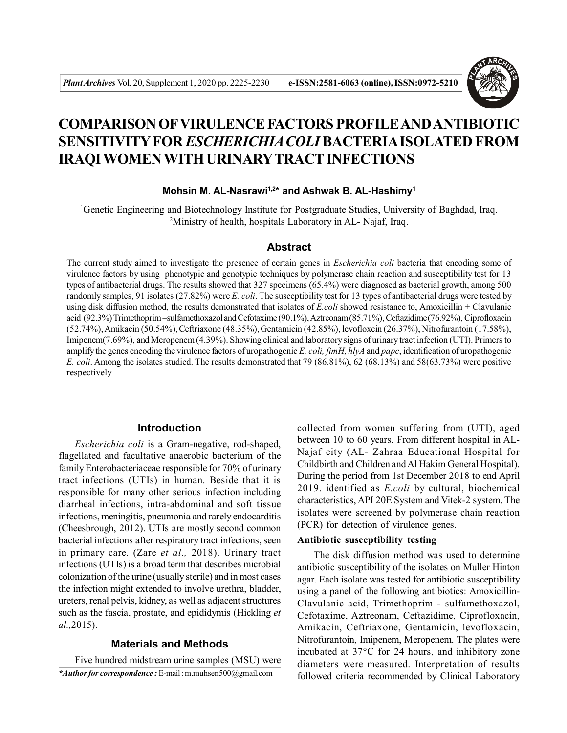

# **COMPARISON OFVIRULENCE FACTORS PROFILE AND ANTIBIOTIC SENSITIVITY FOR** *ESCHERICHIA COLI* **BACTERIA ISOLATED FROM IRAQI WOMEN WITH URINARYTRACT INFECTIONS**

# **Mohsin M. AL-Nasrawi1,2\* and Ashwak B. AL-Hashimy<sup>1</sup>**

<sup>1</sup>Genetic Engineering and Biotechnology Institute for Postgraduate Studies, University of Baghdad, Iraq. <sup>2</sup>Ministry of health, hospitals Laboratory in AL- Najaf, Iraq.

#### **Abstract**

The current study aimed to investigate the presence of certain genes in *Escherichia coli* bacteria that encoding some of virulence factors by using phenotypic and genotypic techniques by polymerase chain reaction and susceptibility test for 13 types of antibacterial drugs. The results showed that 327 specimens (65.4%) were diagnosed as bacterial growth, among 500 randomly samples, 91 isolates (27.82%) were *E. coli*. The susceptibility test for 13 types of antibacterial drugs were tested by using disk diffusion method, the results demonstrated that isolates of *E.coli* showed resistance to, Amoxicillin + Clavulanic acid (92.3%) Trimethoprim –sulfamethoxazol and Cefotaxime (90.1%), Aztreonam (85.71%), Ceftazidime (76.92%), Ciprofloxacin (52.74%), Amikacin (50.54%), Ceftriaxone (48.35%), Gentamicin (42.85%), levofloxcin (26.37%), Nitrofurantoin (17.58%), Imipenem(7.69%), and Meropenem (4.39%). Showing clinical and laboratory signs of urinary tract infection (UTI). Primers to amplify the genes encoding the virulence factors of uropathogenic *E. coli, fimH, hlyA* and *papc*, identification of uropathogenic *E. coli*. Among the isolates studied. The results demonstrated that 79 (86.81%), 62 (68.13%) and 58(63.73%) were positive respectively

# **Introduction**

*Escherichia coli* is a Gram-negative, rod-shaped, flagellated and facultative anaerobic bacterium of the family Enterobacteriaceae responsible for 70% of urinary tract infections (UTIs) in human. Beside that it is responsible for many other serious infection including diarrheal infections, intra-abdominal and soft tissue infections, meningitis, pneumonia and rarely endocarditis (Cheesbrough, 2012). UTIs are mostly second common bacterial infections after respiratory tract infections, seen in primary care. (Zare *et al.,* 2018). Urinary tract infections (UTIs) is a broad term that describes microbial colonization of the urine (usually sterile) and in most cases the infection might extended to involve urethra, bladder, ureters, renal pelvis, kidney, as well as adjacent structures such as the fascia, prostate, and epididymis (Hickling *et al.,*2015).

# **Materials and Methods**

*\*Author for correspondence :* E-mail : m.muhsen500@gmail.com Five hundred midstream urine samples (MSU) were collected from women suffering from (UTI), aged between 10 to 60 years. From different hospital in AL-Najaf city (AL- Zahraa Educational Hospital for Childbirth and Children and Al Hakim General Hospital). During the period from 1st December 2018 to end April 2019. identified as *E.coli* by cultural, biochemical characteristics, API 20E System and Vitek-2 system. The isolates were screened by polymerase chain reaction (PCR) for detection of virulence genes.

# **Antibiotic susceptibility testing**

The disk diffusion method was used to determine antibiotic susceptibility of the isolates on Muller Hinton agar. Each isolate was tested for antibiotic susceptibility using a panel of the following antibiotics: Amoxicillin-Clavulanic acid, Trimethoprim - sulfamethoxazol, Cefotaxime, Aztreonam, Ceftazidime, Ciprofloxacin, Amikacin, Ceftriaxone, Gentamicin, levofloxacin, Nitrofurantoin, Imipenem, Meropenem. The plates were incubated at 37°C for 24 hours, and inhibitory zone diameters were measured. Interpretation of results followed criteria recommended by Clinical Laboratory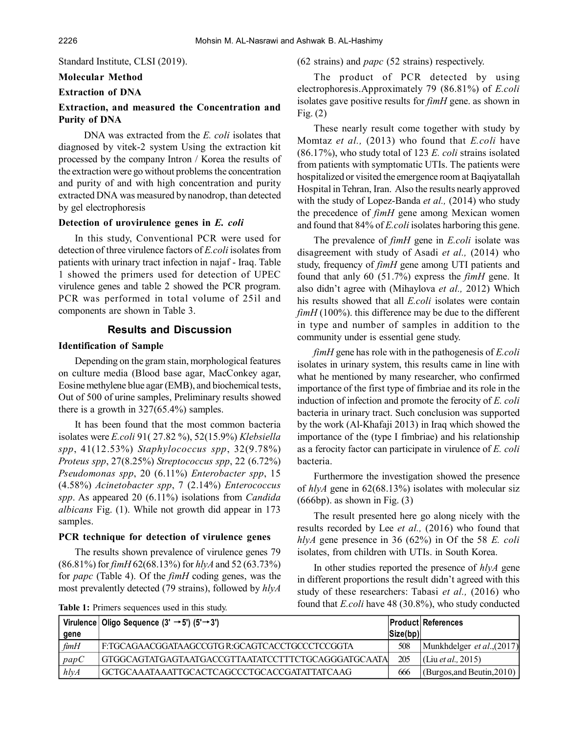Standard Institute, CLSI (2019).

# **Molecular Method**

#### **Extraction of DNA**

#### **Extraction, and measured the Concentration and Purity of DNA**

 DNA was extracted from the *E. coli* isolates that diagnosed by vitek-2 system Using the extraction kit processed by the company Intron / Korea the results of the extraction were go without problems the concentration and purity of and with high concentration and purity extracted DNA was measured by nanodrop, than detected by gel electrophoresis

#### **Detection of urovirulence genes in** *E. coli*

In this study, Conventional PCR were used for detection of three virulence factors of *E.coli* isolates from patients with urinary tract infection in najaf - Iraq. Table 1 showed the primers used for detection of UPEC virulence genes and table 2 showed the PCR program. PCR was performed in total volume of 25ìl and components are shown in Table 3.

#### **Results and Discussion**

#### **Identification of Sample**

Depending on the gram stain, morphological features on culture media (Blood base agar, MacConkey agar, Eosine methylene blue agar (EMB), and biochemical tests, Out of 500 of urine samples, Preliminary results showed there is a growth in 327(65.4%) samples.

It has been found that the most common bacteria isolates were *E.coli* 91( 27.82 %), 52(15.9%) *Klebsiella spp*, 41(12.53%) *Staphylococcus spp*, 32(9.78%) *Proteus spp*, 27(8.25%) *Streptococcus spp*, 22 (6.72%) *Pseudomonas spp*, 20 (6.11%) *Enterobacter spp*, 15 (4.58%) *Acinetobacter spp*, 7 (2.14%) *Enterococcus spp*. As appeared 20 (6.11%) isolations from *Candida albicans* Fig. (1). While not growth did appear in 173 samples.

#### **PCR technique for detection of virulence genes**

The results shown prevalence of virulence genes 79 (86.81%) for *fimH* 62(68.13%) for *hlyA* and 52 (63.73%) for *papc* (Table 4). Of the *fimH* coding genes, was the most prevalently detected (79 strains), followed by *hlyA* (62 strains) and *papc* (52 strains) respectively.

The product of PCR detected by using electrophoresis.Approximately 79 (86.81%) of *E.coli* isolates gave positive results for *fimH* gene. as shown in Fig. (2)

These nearly result come together with study by Momtaz *et al.,* (2013) who found that *E.coli* have (86.17%), who study total of 123 *E. coli* strains isolated from patients with symptomatic UTIs. The patients were hospitalized or visited the emergence room at Baqiyatallah Hospital in Tehran, Iran. Also the results nearly approved with the study of Lopez-Banda *et al.,* (2014) who study the precedence of *fimH* gene among Mexican women and found that 84% of *E.coli* isolates harboring this gene.

The prevalence of *fimH* gene in *E.coli* isolate was disagreement with study of Asadi *et al.,* (2014) who study, frequency of *fimH* gene among UTI patients and found that anly 60 (51.7%) express the *fimH* gene. It also didn't agree with (Mihaylova *et al.,* 2012) Which his results showed that all *E.coli* isolates were contain *fimH* (100%). this difference may be due to the different in type and number of samples in addition to the community under is essential gene study.

*fimH* gene has role with in the pathogenesis of *E.coli* isolates in urinary system, this results came in line with what he mentioned by many researcher, who confirmed importance of the first type of fimbriae and its role in the induction of infection and promote the ferocity of *E. coli* bacteria in urinary tract. Such conclusion was supported by the work (Al-Khafaji 2013) in Iraq which showed the importance of the (type I fimbriae) and his relationship as a ferocity factor can participate in virulence of *E. coli* bacteria.

Furthermore the investigation showed the presence of *hlyA* gene in 62(68.13%) isolates with molecular siz  $(666bp)$ . as shown in Fig.  $(3)$ 

The result presented here go along nicely with the results recorded by Lee *et al.,* (2016) who found that *hlyA* gene presence in 36 (62%) in Of the 58 *E. coli* isolates, from children with UTIs. in South Korea.

In other studies reported the presence of *hlyA* gene in different proportions the result didn't agreed with this study of these researchers: Tabasi *et al.,* (2016) who found that *E.coli* have 48 (30.8%), who study conducted

|                | Virulence   Oligo Sequence (3' $\rightarrow$ 5') (5' $\rightarrow$ 3') |                          | <b>Product References</b>    |
|----------------|------------------------------------------------------------------------|--------------------------|------------------------------|
| gene           |                                                                        | $\vert$ Size(bp) $\vert$ |                              |
| $f$ <i>imH</i> | F:TGCAGAACGGATAAGCCGTGR:GCAGTCACCTGCCCTCCGGTA                          | 508                      | Munkhdelger et al., $(2017)$ |
| papC           | GTGGCAGTATGAGTAATGACCGTTAATATCCTTTCTGCAGGGATGCAATA                     | 205                      | (Liu <i>et al.</i> , 2015)   |
| h l y A        | GCTGCAAATAAATTGCACTCAGCCCTGCACCGATATTATCAAG                            | 666                      | (Burgos, and Beutin, 2010)   |

**Table 1:** Primers sequences used in this study.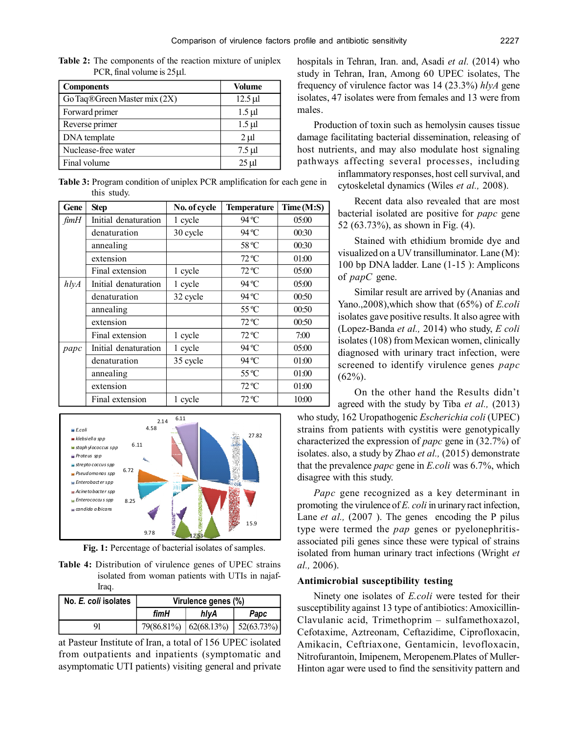| <b>Components</b>            | <b>Volume</b> |
|------------------------------|---------------|
| Go Taq®Green Master mix (2X) | $12.5 \mu$    |
| Forward primer               | $1.5 \mu l$   |
| Reverse primer               | $1.5 \mu l$   |
| DNA template                 | $2 \mu$       |
| Nuclease-free water          | $7.5 \mu$ l   |
| Final volume                 | $25 \mu$      |

**Table 2:** The components of the reaction mixture of uniplex PCR, final volume is  $25 \mu$ .

**Table 3:** Program condition of uniplex PCR amplification for each gene in this study.

| Gene    | <b>Step</b>          | No. of cycle | <b>Temperature</b> | Time (M:S) |
|---------|----------------------|--------------|--------------------|------------|
| fimH    | Initial denaturation | 1 cycle      | 94 °C              | 05:00      |
|         | denaturation         | 30 cycle     | 94 °C              | 00:30      |
|         | annealing            |              | 58 °C              | 00:30      |
|         | extension            |              | $72^{\circ}C$      | 01:00      |
|         | Final extension      | 1 cycle      | $72^{\circ}C$      | 05:00      |
| h l y A | Initial denaturation | 1 cycle      | 94 °C              | 05:00      |
|         | denaturation         | 32 cycle     | 94 °C              | 00:50      |
|         | annealing            |              | $55^{\circ}$ C     | 00:50      |
|         | extension            |              | $72^{\circ}C$      | 00:50      |
|         | Final extension      | 1 cycle      | $72^{\circ}C$      | 7:00       |
| papc    | Initial denaturation | 1 cycle      | 94 °C              | 05:00      |
|         | denaturation         | 35 cycle     | 94 °C              | 01:00      |
|         | annealing            |              | $55^{\circ}$ C     | 01:00      |
|         | extension            |              | $72^{\circ}C$      | 01:00      |
|         | Final extension      | 1 cycle      | $72^{\circ}C$      | 10:00      |



 **Fig. 1:** Percentage of bacterial isolates of samples.

**Table 4:** Distribution of virulence genes of UPEC strains isolated from woman patients with UTIs in najaf-Iraq.

| No. E. coli isolates | Virulence genes (%) |                                                     |      |
|----------------------|---------------------|-----------------------------------------------------|------|
|                      | fimH                | hlvA                                                | Papc |
| 91                   |                     | $79(86.81\%)$ $\mid 62(68.13\%)$ $\mid 52(63.73\%)$ |      |

at Pasteur Institute of Iran, a total of 156 UPEC isolated from outpatients and inpatients (symptomatic and asymptomatic UTI patients) visiting general and private

hospitals in Tehran, Iran. and, Asadi *et al.* (2014) who study in Tehran, Iran, Among 60 UPEC isolates, The frequency of virulence factor was 14 (23.3%) *hlyA* gene isolates, 47 isolates were from females and 13 were from males.

Production of toxin such as hemolysin causes tissue damage facilitating bacterial dissemination, releasing of host nutrients, and may also modulate host signaling pathways affecting several processes, including

> inflammatory responses, host cell survival, and cytoskeletal dynamics (Wiles *et al.,* 2008).

Recent data also revealed that are most bacterial isolated are positive for *papc* gene 52 (63.73%), as shown in Fig. (4).

Stained with ethidium bromide dye and visualized on a UV transilluminator. Lane (M): 100 bp DNA ladder. Lane (1-15 ): Amplicons of *papC* gene.

Similar result are arrived by (Ananias and Yano.,2008),which show that (65%) of *E.coli* isolates gave positive results. It also agree with (Lopez-Banda *et al.,* 2014) who study, *E coli* isolates (108) from Mexican women, clinically diagnosed with urinary tract infection, were screened to identify virulence genes *papc*  $(62\%).$ 

On the other hand the Results didn't agreed with the study by Tiba *et al.,* (2013)

who study, 162 Uropathogenic *Escherichia coli* (UPEC) strains from patients with cystitis were genotypically characterized the expression of *papc* gene in (32.7%) of isolates. also, a study by Zhao *et al.,* (2015) demonstrate that the prevalence *papc* gene in *E.coli* was 6.7%, which disagree with this study.

*Papc* gene recognized as a key determinant in promoting the virulence of *E. coli* in urinary ract infection, Lane *et al.*, (2007). The genes encoding the P pilus type were termed the *pap* genes or pyelonephritisassociated pili genes since these were typical of strains isolated from human urinary tract infections (Wright *et al.,* 2006).

#### **Antimicrobial susceptibility testing**

Ninety one isolates of *E.coli* were tested for their susceptibility against 13 type of antibiotics: Amoxicillin-Clavulanic acid, Trimethoprim – sulfamethoxazol, Cefotaxime, Aztreonam, Ceftazidime, Ciprofloxacin, Amikacin, Ceftriaxone, Gentamicin, levofloxacin, Nitrofurantoin, Imipenem, Meropenem.Plates of Muller-Hinton agar were used to find the sensitivity pattern and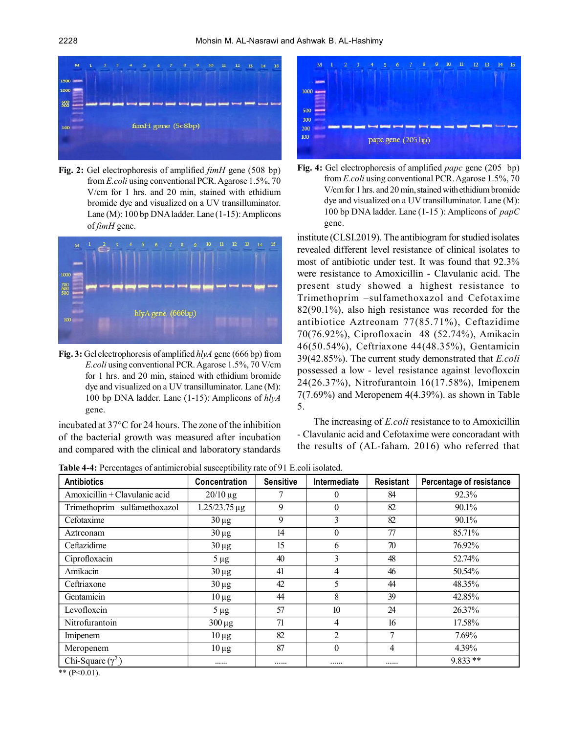

**Fig. 2:** Gel electrophoresis of amplified *fimH* gene (508 bp) from *E.coli* using conventional PCR. Agarose 1.5%, 70 V/cm for 1 hrs. and 20 min, stained with ethidium bromide dye and visualized on a UV transilluminator. Lane (M): 100 bp DNA ladder. Lane (1-15): Amplicons of *fimH* gene.



**Fig. 3:** Gel electrophoresis of amplified *hlyA* gene (666 bp) from *E.coli* using conventional PCR. Agarose 1.5%, 70 V/cm for 1 hrs. and 20 min, stained with ethidium bromide dye and visualized on a UV transilluminator. Lane (M): 100 bp DNA ladder. Lane (1-15): Amplicons of *hlyA* gene.

incubated at 37°C for 24 hours. The zone of the inhibition of the bacterial growth was measured after incubation and compared with the clinical and laboratory standards



**Fig. 4:** Gel electrophoresis of amplified *papc* gene (205 bp) from *E.coli* using conventional PCR. Agarose 1.5%, 70 V/cm for 1 hrs. and 20 min, stained with ethidium bromide dye and visualized on a UV transilluminator. Lane (M): 100 bp DNA ladder. Lane (1-15 ): Amplicons of *papC* gene.

institute (CLSI.2019). The antibiogram for studied isolates revealed different level resistance of clinical isolates to most of antibiotic under test. It was found that 92.3% were resistance to Amoxicillin - Clavulanic acid. The present study showed a highest resistance to Trimethoprim –sulfamethoxazol and Cefotaxime 82(90.1%), also high resistance was recorded for the antibiotice Aztreonam 77(85.71%), Ceftazidime 70(76.92%), Ciprofloxacin 48 (52.74%), Amikacin 46(50.54%), Ceftriaxone 44(48.35%), Gentamicin 39(42.85%). The current study demonstrated that *E.coli* possessed a low - level resistance against levofloxcin 24(26.37%), Nitrofurantoin 16(17.58%), Imipenem 7(7.69%) and Meropenem 4(4.39%). as shown in Table 5.

The increasing of *E.coli* resistance to to Amoxicillin - Clavulanic acid and Cefotaxime were concoradant with the results of (AL-faham. 2016) who referred that

**Table 4-4:** Percentages of antimicrobial susceptibility rate of 91 E.coli isolated.

| <b>Antibiotics</b>            | <b>Concentration</b> | <b>Sensitive</b> | Intermediate   | Resistant      | Percentage of resistance |
|-------------------------------|----------------------|------------------|----------------|----------------|--------------------------|
| Amoxicillin + Clavulanic acid | $20/10 \,\mu g$      | 7                | $\theta$       | 84             | 92.3%                    |
| Trimethoprim-sulfamethoxazol  | 1.25/23.75 µg        | 9                | $\theta$       | 82             | 90.1%                    |
| Cefotaxime                    | $30 \mu g$           | 9                | 3              | 82             | 90.1%                    |
| Aztreonam                     | $30 \mu g$           | 14               | $\theta$       | 77             | 85.71%                   |
| Ceftazidime                   | $30 \mu g$           | 15               | 6              | 70             | 76.92%                   |
| Ciprofloxacin                 | $5 \mu g$            | 40               | 3              | 48             | 52.74%                   |
| Amikacin                      | $30 \mu g$           | 41               | 4              | 46             | 50.54%                   |
| Ceftriaxone                   | $30 \mu g$           | 42               | 5              | 44             | 48.35%                   |
| Gentamicin                    | $10 \mu$ g           | 44               | 8              | 39             | 42.85%                   |
| Levofloxcin                   | $5 \mu g$            | 57               | 10             | 24             | 26.37%                   |
| Nitrofurantoin                | $300 \mu g$          | 71               | 4              | 16             | 17.58%                   |
| Imipenem                      | $10 \mu g$           | 82               | $\overline{2}$ | $\overline{7}$ | 7.69%                    |
| Meropenem                     | $10 \mu g$           | 87               | $\theta$       | 4              | 4.39%                    |
| Chi-Square $(\gamma^2)$       | .                    |                  |                | .              | $9.833**$                |

\*\*  $(P<0.01)$ .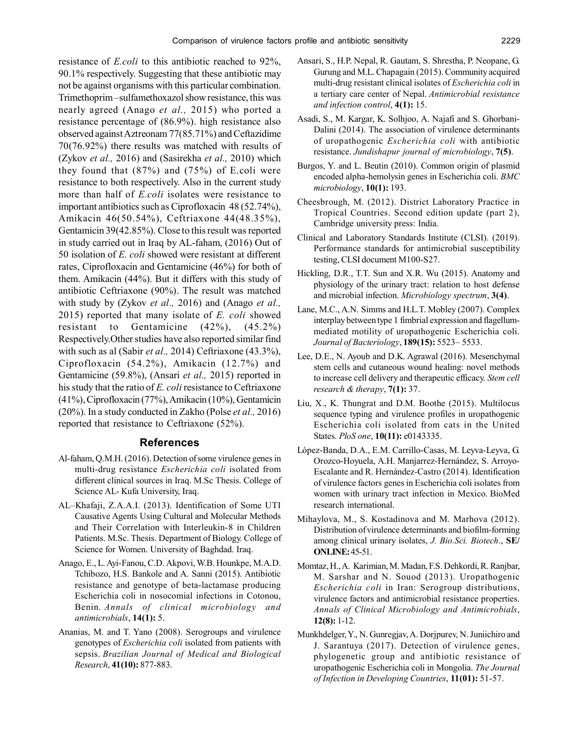resistance of *E.coli* to this antibiotic reached to 92%, 90.1% respectively. Suggesting that these antibiotic may not be against organisms with this particular combination. Trimethoprim –sulfamethoxazol show resistance, this was nearly agreed (Anago *et al.,* 2015) who ported a resistance percentage of (86.9%). high resistance also observed against Aztreonam 77(85.71%) and Ceftazidime 70(76.92%) there results was matched with results of (Zykov *et al.,* 2016) and (Sasirekha *et al.,* 2010) which they found that (87%) and (75%) of E.coli were resistance to both respectively. Also in the current study more than half of *E.coli* isolates were resistance to important antibiotics such as Ciprofloxacin 48 (52.74%), Amikacin 46(50.54%), Ceftriaxone 44(48.35%), Gentamicin 39(42.85%). Close to this result was reported in study carried out in Iraq by AL-faham, (2016) Out of 50 isolation of *E. coli* showed were resistant at different rates, Ciprofloxacin and Gentamicine (46%) for both of them. Amikacin (44%). But it differs with this study of antibiotic Ceftriaxone (90%). The result was matched with study by (Zykov *et al.,* 2016) and (Anago *et al.,* 2015) reported that many isolate of *E. coli* showed resistant to Gentamicine (42%), (45.2%) Respectively.Other studies have also reported similar find with such as al (Sabir *et al.,* 2014) Ceftriaxone (43.3%), Ciprofloxacin (54.2%), Amikacin (12.7%) and Gentamicine (59.8%), (Ansari *et al.,* 2015) reported in his study that the ratio of *E. coli* resistance to Ceftriaxone (41%), Ciprofloxacin (77%), Amikacin (10%), Gentamicin (20%). In a study conducted in Zakho (Polse *et al.,* 2016) reported that resistance to Ceftriaxone (52%).

#### **References**

- Al-faham, Q.M.H. (2016). Detection of some virulence genes in multi-drug resistance *Escherichia coli* isolated from different clinical sources in Iraq. M.Sc Thesis. College of Science AL- Kufa University, Iraq.
- AL–Khafaji, Z.A.A.I. (2013). Identification of Some UTI Causative Agents Using Cultural and Molecular Methods and Their Correlation with Interleukin-8 in Children Patients. M.Sc. Thesis. Department of Biology. College of Science for Women. University of Baghdad. Iraq.
- Anago, E., L. Ayi-Fanou, C.D. Akpovi, W.B. Hounkpe, M.A.D. Tchibozo, H.S. Bankole and A. Sanni (2015). Antibiotic resistance and genotype of beta-lactamase producing Escherichia coli in nosocomial infections in Cotonou, Benin. *Annals of clinical microbiology and antimicrobials*, **14(1):** 5.
- Ananias, M. and T. Yano (2008). Serogroups and virulence genotypes of *Escherichia coli* isolated from patients with sepsis. *Brazilian Journal of Medical and Biological Research*, **41(10):** 877-883.
- Ansari, S., H.P. Nepal, R. Gautam, S. Shrestha, P. Neopane, G. Gurung and M.L. Chapagain (2015). Community acquired multi-drug resistant clinical isolates of *Escherichia coli* in a tertiary care center of Nepal. *Antimicrobial resistance and infection control*, **4(1):** 15.
- Asadi, S., M. Kargar, K. Solhjoo, A. Najafi and S. Ghorbani-Dalini (2014). The association of virulence determinants of uropathogenic *Escherichia coli* with antibiotic resistance. *Jundishapur journal of microbiology*, **7(5)**.
- Burgos, Y. and L. Beutin (2010). Common origin of plasmid encoded alpha-hemolysin genes in Escherichia coli. *BMC microbiology*, **10(1):** 193.
- Cheesbrough, M. (2012). District Laboratory Practice in Tropical Countries. Second edition update (part 2), Cambridge university press: India.
- Clinical and Laboratory Standards Institute (CLSI). (2019). Performance standards for antimicrobial susceptibility testing, CLSI document M100-S27.
- Hickling, D.R., T.T. Sun and X.R. Wu (2015). Anatomy and physiology of the urinary tract: relation to host defense and microbial infection. *Microbiology spectrum*, **3(4)**.
- Lane, M.C., A.N. Simms and H.L.T. Mobley (2007). Complex interplay between type 1 fimbrial expression and flagellummediated motility of uropathogenic Escherichia coli. *Journal of Bacteriology*, **189(15):** 5523– 5533.
- Lee, D.E., N. Ayoub and D.K. Agrawal (2016). Mesenchymal stem cells and cutaneous wound healing: novel methods to increase cell delivery and therapeutic efficacy. *Stem cell research & therapy*, **7(1):** 37.
- Liu, X., K. Thungrat and D.M. Boothe (2015). Multilocus sequence typing and virulence profiles in uropathogenic Escherichia coli isolated from cats in the United States. *PloS one*, **10(11):** e0143335.
- López-Banda, D.A., E.M. Carrillo-Casas, M. Leyva-Leyva, G. Orozco-Hoyuela, A.H. Manjarrez-Hernández, S. Arroyo-Escalante and R. Hernández-Castro (2014). Identification of virulence factors genes in Escherichia coli isolates from women with urinary tract infection in Mexico. BioMed research international.
- Mihaylova, M., S. Kostadinova and M. Marhova (2012). Distribution of virulence determinants and biofilm-forming among clinical urinary isolates, *J. Bio.Sci. Biotech*., **SE/ ONLINE:** 45-51.
- Momtaz, H., A. Karimian, M. Madan, F.S. Dehkordi, R. Ranjbar, M. Sarshar and N. Souod (2013). Uropathogenic *Escherichia coli* in Iran: Serogroup distributions, virulence factors and antimicrobial resistance properties. *Annals of Clinical Microbiology and Antimicrobials*, **12(8):** 1-12.
- Munkhdelger, Y., N. Gunregjav, A. Dorjpurev, N. Juniichiro and J. Sarantuya (2017). Detection of virulence genes, phylogenetic group and antibiotic resistance of uropathogenic Escherichia coli in Mongolia. *The Journal of Infection in Developing Countries*, **11(01):** 51-57.